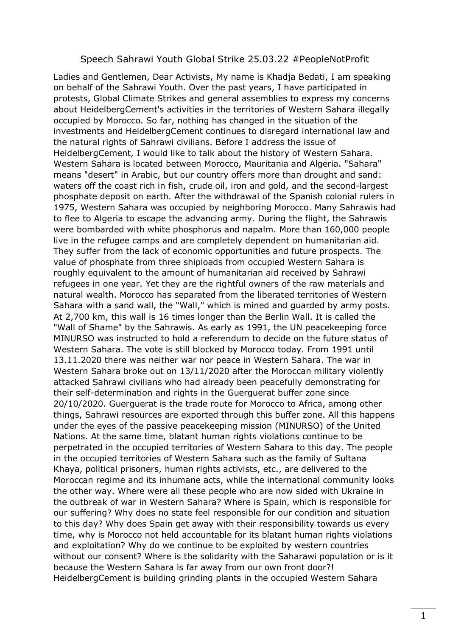## Speech Sahrawi Youth Global Strike 25.03.22 #PeopleNotProfit

Ladies and Gentlemen, Dear Activists, My name is Khadja Bedati, I am speaking on behalf of the Sahrawi Youth. Over the past years, I have participated in protests, Global Climate Strikes and general assemblies to express my concerns about HeidelbergCement's activities in the territories of Western Sahara illegally occupied by Morocco. So far, nothing has changed in the situation of the investments and HeidelbergCement continues to disregard international law and the natural rights of Sahrawi civilians. Before I address the issue of HeidelbergCement, I would like to talk about the history of Western Sahara. Western Sahara is located between Morocco, Mauritania and Algeria. "Sahara" means "desert" in Arabic, but our country offers more than drought and sand: waters off the coast rich in fish, crude oil, iron and gold, and the second-largest phosphate deposit on earth. After the withdrawal of the Spanish colonial rulers in 1975, Western Sahara was occupied by neighboring Morocco. Many Sahrawis had to flee to Algeria to escape the advancing army. During the flight, the Sahrawis were bombarded with white phosphorus and napalm. More than 160,000 people live in the refugee camps and are completely dependent on humanitarian aid. They suffer from the lack of economic opportunities and future prospects. The value of phosphate from three shiploads from occupied Western Sahara is roughly equivalent to the amount of humanitarian aid received by Sahrawi refugees in one year. Yet they are the rightful owners of the raw materials and natural wealth. Morocco has separated from the liberated territories of Western Sahara with a sand wall, the "Wall," which is mined and guarded by army posts. At 2,700 km, this wall is 16 times longer than the Berlin Wall. It is called the "Wall of Shame" by the Sahrawis. As early as 1991, the UN peacekeeping force MINURSO was instructed to hold a referendum to decide on the future status of Western Sahara. The vote is still blocked by Morocco today. From 1991 until 13.11.2020 there was neither war nor peace in Western Sahara. The war in Western Sahara broke out on 13/11/2020 after the Moroccan military violently attacked Sahrawi civilians who had already been peacefully demonstrating for their self-determination and rights in the Guerguerat buffer zone since 20/10/2020. Guerguerat is the trade route for Morocco to Africa, among other things, Sahrawi resources are exported through this buffer zone. All this happens under the eyes of the passive peacekeeping mission (MINURSO) of the United Nations. At the same time, blatant human rights violations continue to be perpetrated in the occupied territories of Western Sahara to this day. The people in the occupied territories of Western Sahara such as the family of Sultana Khaya, political prisoners, human rights activists, etc., are delivered to the Moroccan regime and its inhumane acts, while the international community looks the other way. Where were all these people who are now sided with Ukraine in the outbreak of war in Western Sahara? Where is Spain, which is responsible for our suffering? Why does no state feel responsible for our condition and situation to this day? Why does Spain get away with their responsibility towards us every time, why is Morocco not held accountable for its blatant human rights violations and exploitation? Why do we continue to be exploited by western countries without our consent? Where is the solidarity with the Saharawi population or is it because the Western Sahara is far away from our own front door?! HeidelbergCement is building grinding plants in the occupied Western Sahara